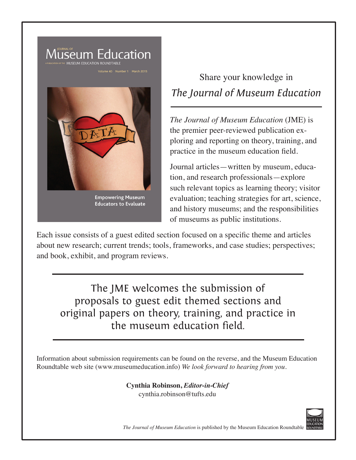

**Educators to Evaluate** 

Share your knowledge in *The Journal of Museum Education*

*The Journal of Museum Education* (JME) is the premier peer-reviewed publication exploring and reporting on theory, training, and practice in the museum education field.

Journal articles—written by museum, education, and research professionals—explore such relevant topics as learning theory; visitor evaluation; teaching strategies for art, science, and history museums; and the responsibilities of museums as public institutions.

Each issue consists of a guest edited section focused on a specific theme and articles about new research; current trends; tools, frameworks, and case studies; perspectives; and book, exhibit, and program reviews.

The JME welcomes the submission of proposals to guest edit themed sections and original papers on theory, training, and practice in the museum education field.

Information about submission requirements can be found on the reverse, and the Museum Education Roundtable web site (www.museumeducation.info) *We look forward to hearing from you*.

> **Cynthia Robinson,** *Editor-in-Chief* cynthia.robinson@tufts.edu



*The Journal of Museum Education* is published by the Museum Education Roundtable